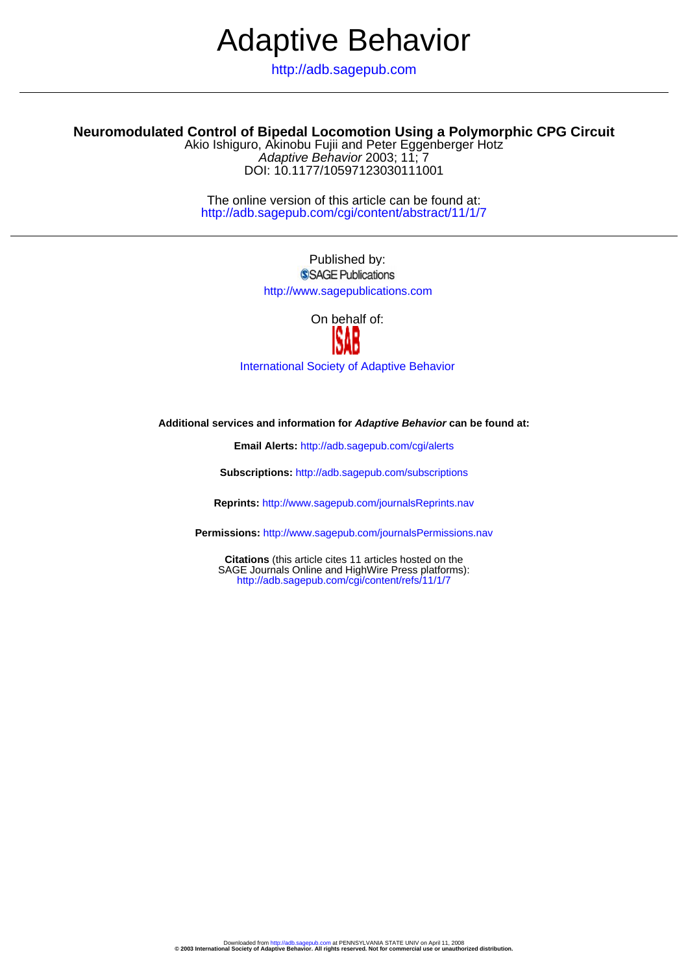# Adaptive Behavior

http://adb.sagepub.com

# **Neuromodulated Control of Bipedal Locomotion Using a Polymorphic CPG Circuit**

DOI: 10.1177/10597123030111001 Adaptive Behavior 2003; 11; 7 Akio Ishiguro, Akinobu Fujii and Peter Eggenberger Hotz

http://adb.sagepub.com/cgi/content/abstract/11/1/7 The online version of this article can be found at:

> Published by: SSAGE Publications http://www.sagepublications.com

> > On behalf of:



[International Society of Adaptive Behavior](http://www.isab.org.uk)

**Additional services and information for Adaptive Behavior can be found at:**

**Email Alerts:** <http://adb.sagepub.com/cgi/alerts>

**Subscriptions:** <http://adb.sagepub.com/subscriptions>

**Reprints:** <http://www.sagepub.com/journalsReprints.nav>

**Permissions:** <http://www.sagepub.com/journalsPermissions.nav>

<http://adb.sagepub.com/cgi/content/refs/11/1/7> SAGE Journals Online and HighWire Press platforms): **Citations** (this article cites 11 articles hosted on the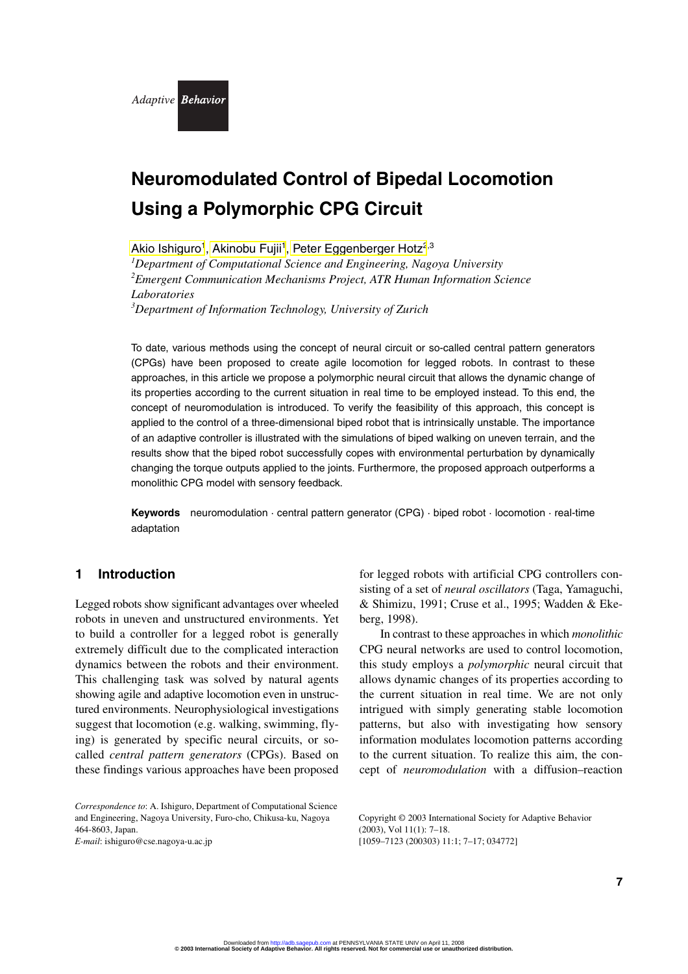

# **Neuromodulated Control of Bipedal Locomotion Using a Polymorphic CPG Circuit**

Akio Ishiguro<sup>1</sup>, Akinobu Fujii<sup>1</sup>, [Peter Eggenberger Hotz](#page-11-0)<sup>2,3</sup> *1 Department of Computational Science and Engineering, Nagoya University 2 Emergent Communication Mechanisms Project, ATR Human Information Science Laboratories 3 Department of Information Technology, University of Zurich*

To date, various methods using the concept of neural circuit or so-called central pattern generators (CPGs) have been proposed to create agile locomotion for legged robots. In contrast to these approaches, in this article we propose a polymorphic neural circuit that allows the dynamic change of its properties according to the current situation in real time to be employed instead. To this end, the concept of neuromodulation is introduced. To verify the feasibility of this approach, this concept is applied to the control of a three-dimensional biped robot that is intrinsically unstable. The importance of an adaptive controller is illustrated with the simulations of biped walking on uneven terrain, and the results show that the biped robot successfully copes with environmental perturbation by dynamically changing the torque outputs applied to the joints. Furthermore, the proposed approach outperforms a monolithic CPG model with sensory feedback.

**Keywords** neuromodulation · central pattern generator (CPG) · biped robot · locomotion · real-time adaptation

### **1 Introduction**

Legged robots show significant advantages over wheeled robots in uneven and unstructured environments. Yet to build a controller for a legged robot is generally extremely difficult due to the complicated interaction dynamics between the robots and their environment. This challenging task was solved by natural agents showing agile and adaptive locomotion even in unstructured environments. Neurophysiological investigations suggest that locomotion (e.g. walking, swimming, flying) is generated by specific neural circuits, or socalled *central pattern generators* (CPGs). Based on these findings various approaches have been proposed

*Correspondence to*: A. Ishiguro, Department of Computational Science and Engineering, Nagoya University, Furo-cho, Chikusa-ku, Nagoya 464-8603, Japan. *E-mail*: ishiguro@cse.nagoya-u.ac.jp

for legged robots with artificial CPG controllers consisting of a set of *neural oscillators* (Taga, Yamaguchi, & Shimizu, 1991; Cruse et al., 1995; Wadden & Ekeberg, 1998).

In contrast to these approaches in which *monolithic* CPG neural networks are used to control locomotion, this study employs a *polymorphic* neural circuit that allows dynamic changes of its properties according to the current situation in real time. We are not only intrigued with simply generating stable locomotion patterns, but also with investigating how sensory information modulates locomotion patterns according to the current situation. To realize this aim, the concept of *neuromodulation* with a diffusion–reaction

Copyright © 2003 International Society for Adaptive Behavior (2003), Vol 11(1): 7–18. [1059–7123 (200303) 11:1; 7–17; 034772]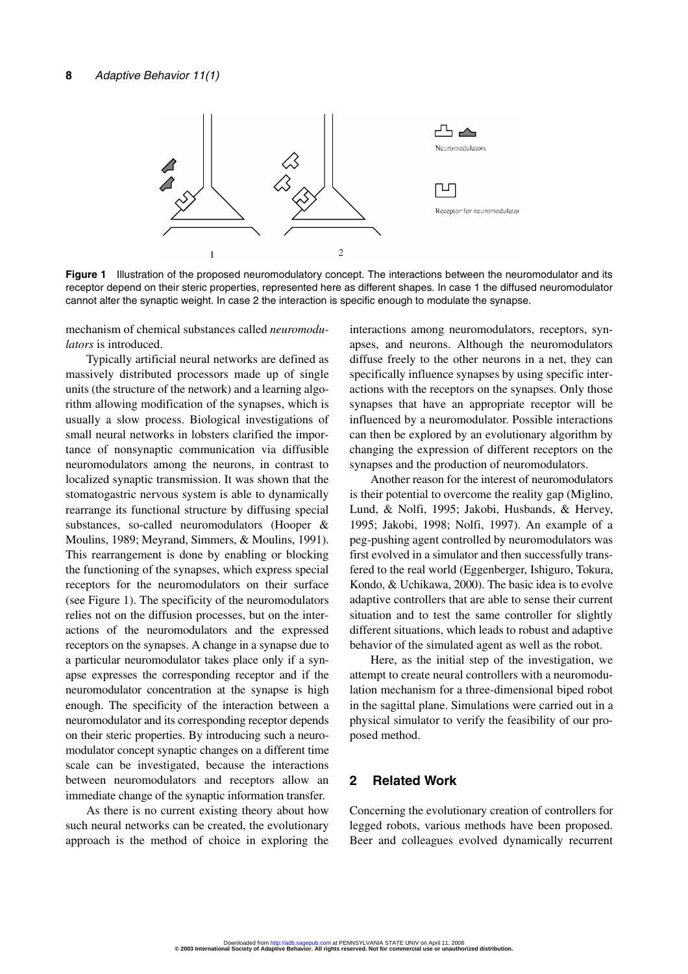

**Figure 1** Illustration of the proposed neuromodulatory concept. The interactions between the neuromodulator and its receptor depend on their steric properties, represented here as different shapes. In case 1 the diffused neuromodulator cannot alter the synaptic weight. In case 2 the interaction is specific enough to modulate the synapse.

mechanism of chemical substances called *neuromodulators* is introduced.

Typically artificial neural networks are defined as massively distributed processors made up of single units (the structure of the network) and a learning algorithm allowing modification of the synapses, which is usually a slow process. Biological investigations of small neural networks in lobsters clarified the importance of nonsynaptic communication via diffusible neuromodulators among the neurons, in contrast to localized synaptic transmission. It was shown that the stomatogastric nervous system is able to dynamically rearrange its functional structure by diffusing special substances, so-called neuromodulators (Hooper & Moulins, 1989; Meyrand, Simmers, & Moulins, 1991). This rearrangement is done by enabling or blocking the functioning of the synapses, which express special receptors for the neuromodulators on their surface (see Figure 1). The specificity of the neuromodulators relies not on the diffusion processes, but on the interactions of the neuromodulators and the expressed receptors on the synapses. A change in a synapse due to a particular neuromodulator takes place only if a synapse expresses the corresponding receptor and if the neuromodulator concentration at the synapse is high enough. The specificity of the interaction between a neuromodulator and its corresponding receptor depends on their steric properties. By introducing such a neuromodulator concept synaptic changes on a different time scale can be investigated, because the interactions between neuromodulators and receptors allow an immediate change of the synaptic information transfer.

As there is no current existing theory about how such neural networks can be created, the evolutionary approach is the method of choice in exploring the interactions among neuromodulators, receptors, synapses, and neurons. Although the neuromodulators diffuse freely to the other neurons in a net, they can specifically influence synapses by using specific interactions with the receptors on the synapses. Only those synapses that have an appropriate receptor will be influenced by a neuromodulator. Possible interactions can then be explored by an evolutionary algorithm by changing the expression of different receptors on the synapses and the production of neuromodulators.

Another reason for the interest of neuromodulators is their potential to overcome the reality gap (Miglino, Lund, & Nolfi, 1995; Jakobi, Husbands, & Hervey, 1995; Jakobi, 1998; Nolfi, 1997). An example of a peg-pushing agent controlled by neuromodulators was first evolved in a simulator and then successfully transfered to the real world (Eggenberger, Ishiguro, Tokura, Kondo, & Uchikawa, 2000). The basic idea is to evolve adaptive controllers that are able to sense their current situation and to test the same controller for slightly different situations, which leads to robust and adaptive behavior of the simulated agent as well as the robot.

Here, as the initial step of the investigation, we attempt to create neural controllers with a neuromodulation mechanism for a three-dimensional biped robot in the sagittal plane. Simulations were carried out in a physical simulator to verify the feasibility of our proposed method.

# **2 Related Work**

Concerning the evolutionary creation of controllers for legged robots, various methods have been proposed. Beer and colleagues evolved dynamically recurrent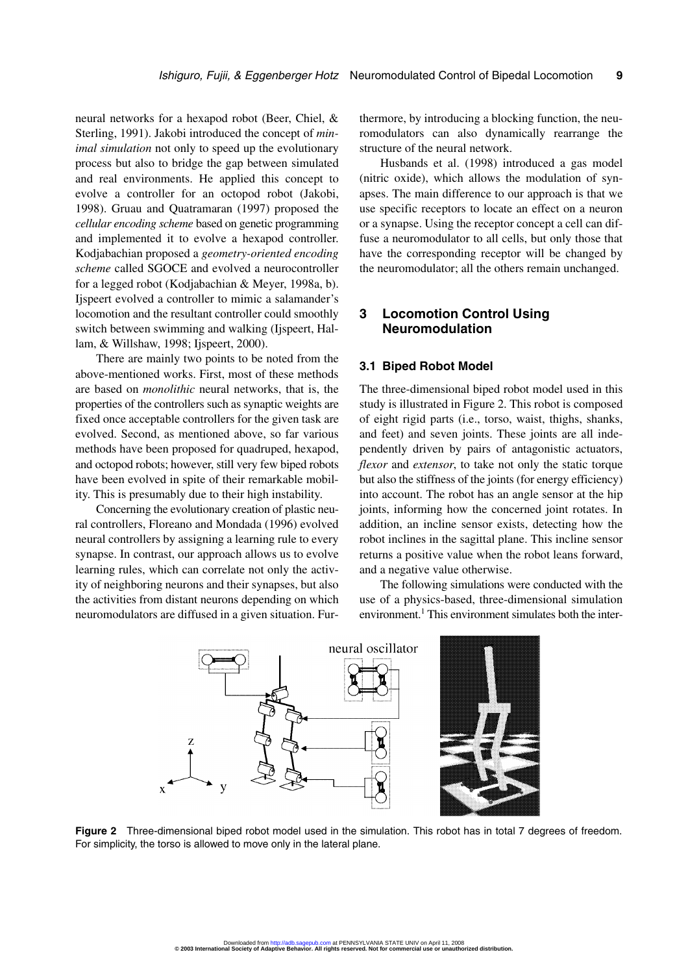neural networks for a hexapod robot (Beer, Chiel, & Sterling, 1991). Jakobi introduced the concept of *minimal simulation* not only to speed up the evolutionary process but also to bridge the gap between simulated and real environments. He applied this concept to evolve a controller for an octopod robot (Jakobi, 1998). Gruau and Quatramaran (1997) proposed the *cellular encoding scheme* based on genetic programming and implemented it to evolve a hexapod controller. Kodjabachian proposed a *geometry-oriented encoding scheme* called SGOCE and evolved a neurocontroller for a legged robot (Kodjabachian & Meyer, 1998a, b). Ijspeert evolved a controller to mimic a salamander's locomotion and the resultant controller could smoothly switch between swimming and walking (Ijspeert, Hallam, & Willshaw, 1998; Ijspeert, 2000).

There are mainly two points to be noted from the above-mentioned works. First, most of these methods are based on *monolithic* neural networks, that is, the properties of the controllers such as synaptic weights are fixed once acceptable controllers for the given task are evolved. Second, as mentioned above, so far various methods have been proposed for quadruped, hexapod, and octopod robots; however, still very few biped robots have been evolved in spite of their remarkable mobility. This is presumably due to their high instability.

Concerning the evolutionary creation of plastic neural controllers, Floreano and Mondada (1996) evolved neural controllers by assigning a learning rule to every synapse. In contrast, our approach allows us to evolve learning rules, which can correlate not only the activity of neighboring neurons and their synapses, but also the activities from distant neurons depending on which neuromodulators are diffused in a given situation. Furthermore, by introducing a blocking function, the neuromodulators can also dynamically rearrange the structure of the neural network.

Husbands et al. (1998) introduced a gas model (nitric oxide), which allows the modulation of synapses. The main difference to our approach is that we use specific receptors to locate an effect on a neuron or a synapse. Using the receptor concept a cell can diffuse a neuromodulator to all cells, but only those that have the corresponding receptor will be changed by the neuromodulator; all the others remain unchanged.

# **3 Locomotion Control Using Neuromodulation**

#### **3.1 Biped Robot Model**

The three-dimensional biped robot model used in this study is illustrated in Figure 2. This robot is composed of eight rigid parts (i.e., torso, waist, thighs, shanks, and feet) and seven joints. These joints are all independently driven by pairs of antagonistic actuators, *flexor* and *extensor*, to take not only the static torque but also the stiffness of the joints (for energy efficiency) into account. The robot has an angle sensor at the hip joints, informing how the concerned joint rotates. In addition, an incline sensor exists, detecting how the robot inclines in the sagittal plane. This incline sensor returns a positive value when the robot leans forward, and a negative value otherwise.

The following simulations were conducted with the use of a physics-based, three-dimensional simulation environment.<sup>1</sup> This environment simulates both the inter-



**Figure 2** Three-dimensional biped robot model used in the simulation. This robot has in total 7 degrees of freedom. For simplicity, the torso is allowed to move only in the lateral plane.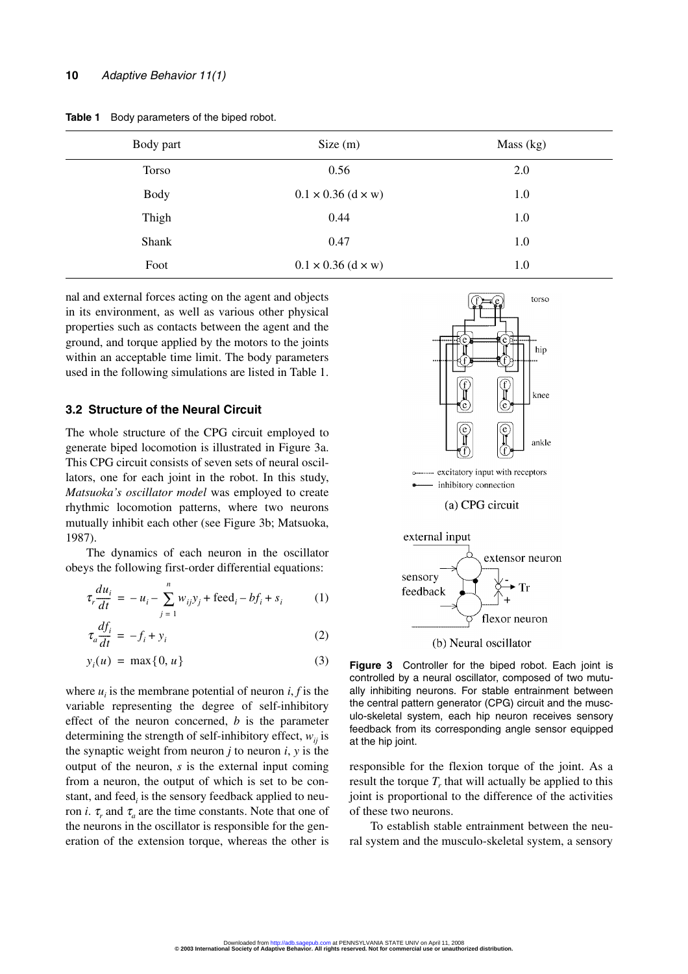| Body part   | Size(m)                          | Mass $(kg)$ |
|-------------|----------------------------------|-------------|
| Torso       | 0.56                             | 2.0         |
| <b>Body</b> | $0.1 \times 0.36$ (d $\times$ w) | 1.0         |
| Thigh       | 0.44                             | 1.0         |
| Shank       | 0.47                             | 1.0         |
| Foot        | $0.1 \times 0.36$ (d × w)        | 1.0         |

**Table 1** Body parameters of the biped robot.

nal and external forces acting on the agent and objects in its environment, as well as various other physical properties such as contacts between the agent and the ground, and torque applied by the motors to the joints within an acceptable time limit. The body parameters used in the following simulations are listed in Table 1.

#### **3.2 Structure of the Neural Circuit**

The whole structure of the CPG circuit employed to generate biped locomotion is illustrated in Figure 3a. This CPG circuit consists of seven sets of neural oscillators, one for each joint in the robot. In this study, *Matsuoka's oscillator model* was employed to create rhythmic locomotion patterns, where two neurons mutually inhibit each other (see Figure 3b; Matsuoka, 1987).

The dynamics of each neuron in the oscillator obeys the following first-order differential equations:

$$
\tau_r \frac{du_i}{dt} = -u_i - \sum_{j=1}^n w_{ij} y_j + \text{feed}_i - bf_i + s_i \tag{1}
$$

$$
\tau_a \frac{df_i}{dt} = -f_i + y_i \tag{2}
$$

$$
y_i(u) = \max\{0, u\} \tag{3}
$$

where  $u_i$  is the membrane potential of neuron  $i, f$  is the variable representing the degree of self-inhibitory effect of the neuron concerned, *b* is the parameter determining the strength of self-inhibitory effect,  $w_{ii}$  is the synaptic weight from neuron  $j$  to neuron  $i$ ,  $y$  is the output of the neuron, *s* is the external input coming from a neuron, the output of which is set to be constant, and feed<sub>*i*</sub> is the sensory feedback applied to neuron *i*.  $\tau_r$  and  $\tau_a$  are the time constants. Note that one of the neurons in the oscillator is responsible for the generation of the extension torque, whereas the other is





flexor neuron

**Figure 3** Controller for the biped robot. Each joint is controlled by a neural oscillator, composed of two mutually inhibiting neurons. For stable entrainment between the central pattern generator (CPG) circuit and the musculo-skeletal system, each hip neuron receives sensory feedback from its corresponding angle sensor equipped at the hip joint.

responsible for the flexion torque of the joint. As a result the torque  $T_r$  that will actually be applied to this joint is proportional to the difference of the activities of these two neurons.

To establish stable entrainment between the neural system and the musculo-skeletal system, a sensory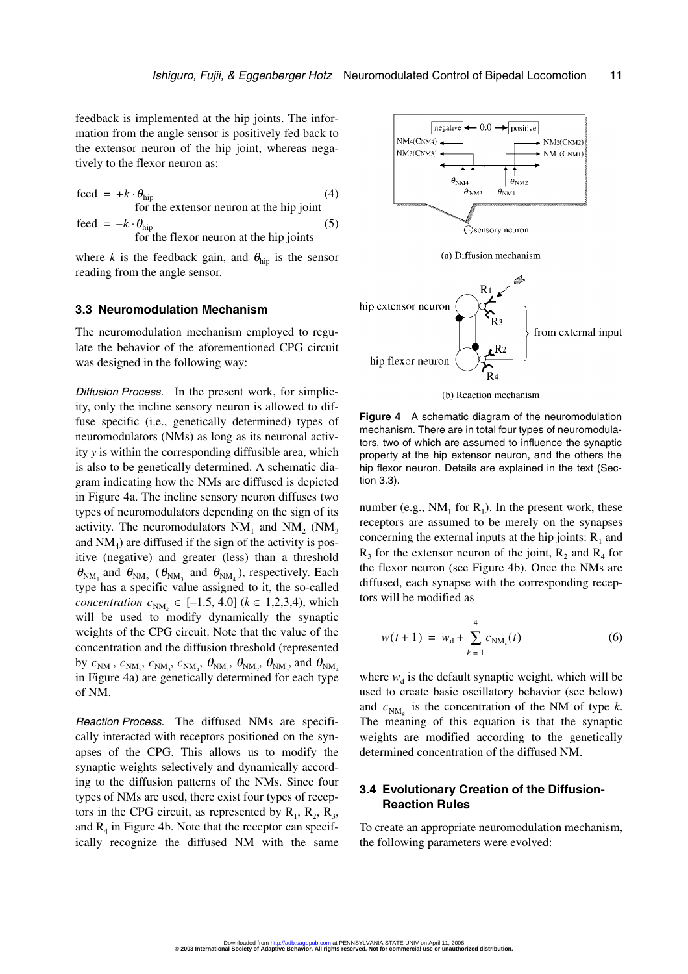feedback is implemented at the hip joints. The information from the angle sensor is positively fed back to the extensor neuron of the hip joint, whereas negatively to the flexor neuron as:

$$
feed = +k \cdot \theta_{\text{hip}}
$$
  
for the extension neuron at the hip joint  
feed =  $-k \cdot \theta_{\text{hip}}$  (5)  
for the flexor neuron at the hip joints

where *k* is the feedback gain, and  $\theta_{\text{hip}}$  is the sensor reading from the angle sensor.

#### **3.3 Neuromodulation Mechanism**

The neuromodulation mechanism employed to regulate the behavior of the aforementioned CPG circuit was designed in the following way:

Diffusion Process. In the present work, for simplicity, only the incline sensory neuron is allowed to diffuse specific (i.e., genetically determined) types of neuromodulators (NMs) as long as its neuronal activity *y* is within the corresponding diffusible area, which is also to be genetically determined. A schematic diagram indicating how the NMs are diffused is depicted in Figure 4a. The incline sensory neuron diffuses two types of neuromodulators depending on the sign of its activity. The neuromodulators  $NM_1$  and  $NM_2$  ( $NM_3$ ) and  $NM<sub>4</sub>$ ) are diffused if the sign of the activity is positive (negative) and greater (less) than a threshold  $\theta_{NM_1}$  and  $\theta_{NM_2}$  ( $\theta_{NM_3}$  and  $\theta_{NM_4}$ ), respectively. Each type has a specific value assigned to it, the so-called *concentration*  $c_{NM_k}$  ∈ [−1.5, 4.0] ( $k$  ∈ 1,2,3,4), which will be used to modify dynamically the synaptic weights of the CPG circuit. Note that the value of the concentration and the diffusion threshold (represented by  $c_{\text{NM}_1}$ ,  $c_{\text{NM}_2}$ ,  $c_{\text{NM}_3}$ ,  $c_{\text{NM}_4}$ ,  $\theta_{\text{NM}_1}$ ,  $\theta_{\text{NM}_2}$ ,  $\theta_{\text{NM}_3}$ , and  $\theta_{\text{NM}_4}$ in Figure 4a) are genetically determined for each type of NM.

Reaction Process. The diffused NMs are specifically interacted with receptors positioned on the synapses of the CPG. This allows us to modify the synaptic weights selectively and dynamically according to the diffusion patterns of the NMs. Since four types of NMs are used, there exist four types of receptors in the CPG circuit, as represented by  $R_1$ ,  $R_2$ ,  $R_3$ , and  $R_4$  in Figure 4b. Note that the receptor can specifically recognize the diffused NM with the same



(b) Reaction mechanism

**Figure 4** A schematic diagram of the neuromodulation mechanism. There are in total four types of neuromodulators, two of which are assumed to influence the synaptic property at the hip extensor neuron, and the others the hip flexor neuron. Details are explained in the text (Section 3.3).

number (e.g.,  $NM_1$  for  $R_1$ ). In the present work, these receptors are assumed to be merely on the synapses concerning the external inputs at the hip joints:  $R_1$  and  $R_3$  for the extensor neuron of the joint,  $R_2$  and  $R_4$  for the flexor neuron (see Figure 4b). Once the NMs are diffused, each synapse with the corresponding receptors will be modified as

$$
w(t+1) = w_d + \sum_{k=1}^{4} c_{NM_k}(t)
$$
 (6)

where  $w_d$  is the default synaptic weight, which will be used to create basic oscillatory behavior (see below) and  $c_{NM_k}$  is the concentration of the NM of type *k*. The meaning of this equation is that the synaptic weights are modified according to the genetically determined concentration of the diffused NM.

### **3.4 Evolutionary Creation of the Diffusion-Reaction Rules**

To create an appropriate neuromodulation mechanism, the following parameters were evolved: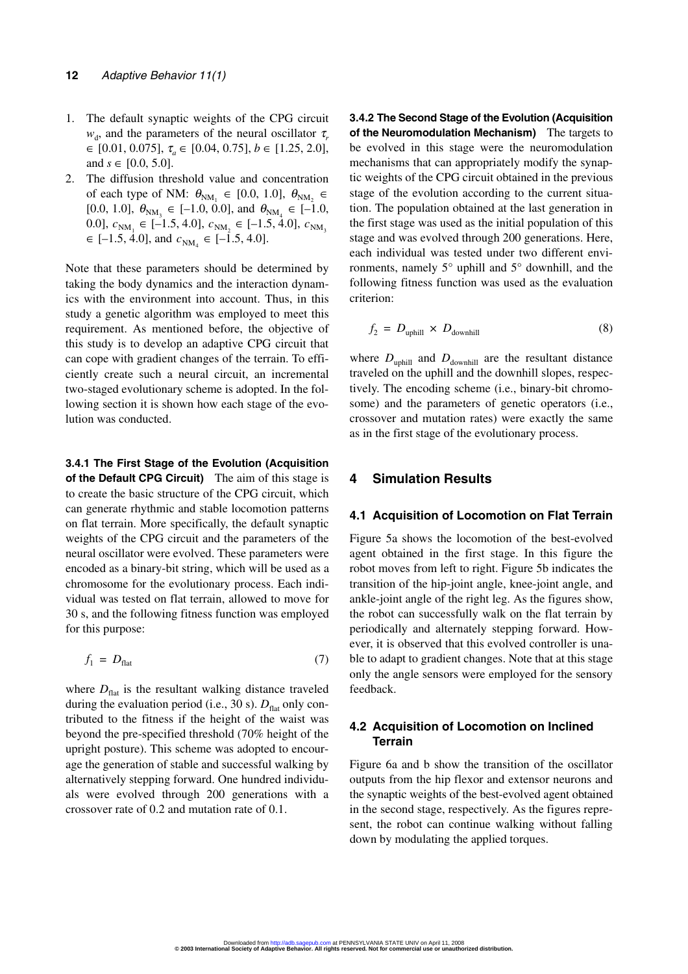- 1. The default synaptic weights of the CPG circuit  $w_{d}$ , and the parameters of the neural oscillator  $\tau_{r}$ ∈ [0.01, 0.075], τ*<sup>a</sup>* ∈ [0.04, 0.75], *b* ∈ [1.25, 2.0], and  $s \in [0.0, 5.0]$ .
- 2. The diffusion threshold value and concentration of each type of NM:  $\theta_{NM_1} \in [0.0, 1.0], \ \theta_{NM_2} \in$ [0.0, 1.0],  $\theta_{NM_3} \in [-1.0, 0.0]$ , and  $\theta_{NM_4} \in [-1.0, 0.0]$ 0.0],  $c_{NM_1} \in [-1.5, 4.0]$ ,  $c_{NM_2} \in [-1.5, 4.0]$ ,  $c_{NM_3}$  $\in$  [-1.5, 4.0], and  $c_{NM_4} \in$  [-1.5, 4.0].

Note that these parameters should be determined by taking the body dynamics and the interaction dynamics with the environment into account. Thus, in this study a genetic algorithm was employed to meet this requirement. As mentioned before, the objective of this study is to develop an adaptive CPG circuit that can cope with gradient changes of the terrain. To efficiently create such a neural circuit, an incremental two-staged evolutionary scheme is adopted. In the following section it is shown how each stage of the evolution was conducted.

**3.4.1 The First Stage of the Evolution (Acquisition of the Default CPG Circuit)** The aim of this stage is to create the basic structure of the CPG circuit, which can generate rhythmic and stable locomotion patterns on flat terrain. More specifically, the default synaptic weights of the CPG circuit and the parameters of the neural oscillator were evolved. These parameters were encoded as a binary-bit string, which will be used as a chromosome for the evolutionary process. Each individual was tested on flat terrain, allowed to move for 30 s, and the following fitness function was employed for this purpose:

$$
f_1 = D_{\text{flat}} \tag{7}
$$

where  $D_{\text{flat}}$  is the resultant walking distance traveled during the evaluation period (i.e., 30 s).  $D_{\text{flat}}$  only contributed to the fitness if the height of the waist was beyond the pre-specified threshold (70% height of the upright posture). This scheme was adopted to encourage the generation of stable and successful walking by alternatively stepping forward. One hundred individuals were evolved through 200 generations with a crossover rate of 0.2 and mutation rate of 0.1.

**3.4.2 The Second Stage of the Evolution (Acquisition of the Neuromodulation Mechanism)** The targets to be evolved in this stage were the neuromodulation mechanisms that can appropriately modify the synaptic weights of the CPG circuit obtained in the previous stage of the evolution according to the current situation. The population obtained at the last generation in the first stage was used as the initial population of this stage and was evolved through 200 generations. Here, each individual was tested under two different environments, namely 5° uphill and 5° downhill, and the following fitness function was used as the evaluation criterion:

$$
f_2 = D_{\text{uphill}} \times D_{\text{downhill}} \tag{8}
$$

where  $D_{\text{uphill}}$  and  $D_{\text{downhill}}$  are the resultant distance traveled on the uphill and the downhill slopes, respectively. The encoding scheme (i.e., binary-bit chromosome) and the parameters of genetic operators (i.e., crossover and mutation rates) were exactly the same as in the first stage of the evolutionary process.

# **4 Simulation Results**

#### **4.1 Acquisition of Locomotion on Flat Terrain**

Figure 5a shows the locomotion of the best-evolved agent obtained in the first stage. In this figure the robot moves from left to right. Figure 5b indicates the transition of the hip-joint angle, knee-joint angle, and ankle-joint angle of the right leg. As the figures show, the robot can successfully walk on the flat terrain by periodically and alternately stepping forward. However, it is observed that this evolved controller is unable to adapt to gradient changes. Note that at this stage only the angle sensors were employed for the sensory feedback.

#### **4.2 Acquisition of Locomotion on Inclined Terrain**

Figure 6a and b show the transition of the oscillator outputs from the hip flexor and extensor neurons and the synaptic weights of the best-evolved agent obtained in the second stage, respectively. As the figures represent, the robot can continue walking without falling down by modulating the applied torques.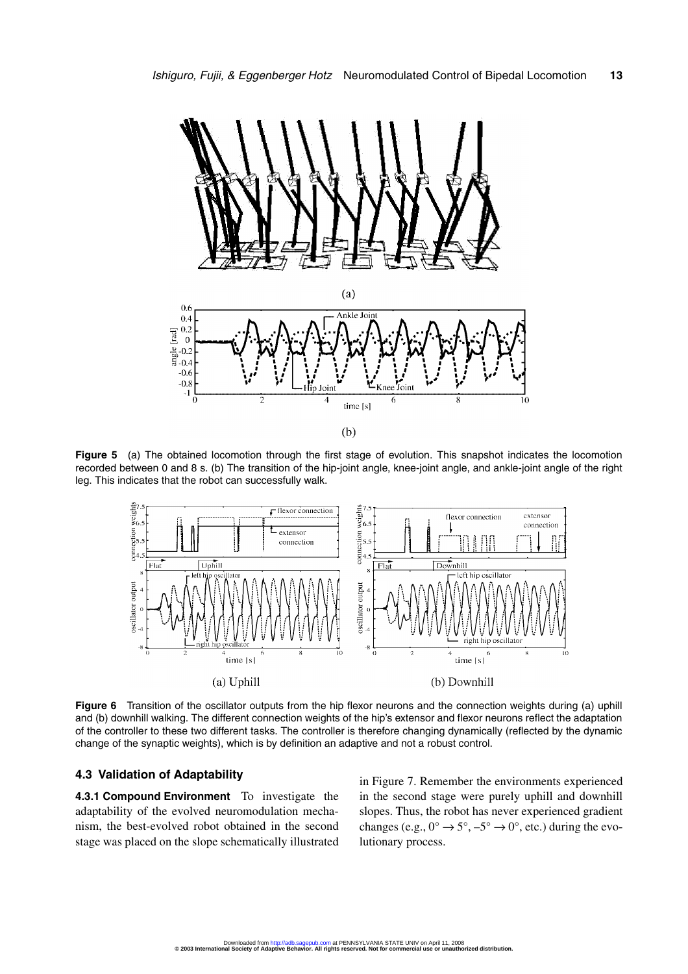

**Figure 5** (a) The obtained locomotion through the first stage of evolution. This snapshot indicates the locomotion recorded between 0 and 8 s. (b) The transition of the hip-joint angle, knee-joint angle, and ankle-joint angle of the right leg. This indicates that the robot can successfully walk.



**Figure 6** Transition of the oscillator outputs from the hip flexor neurons and the connection weights during (a) uphill and (b) downhill walking. The different connection weights of the hip's extensor and flexor neurons reflect the adaptation of the controller to these two different tasks. The controller is therefore changing dynamically (reflected by the dynamic change of the synaptic weights), which is by definition an adaptive and not a robust control.

#### **4.3 Validation of Adaptability**

**4.3.1 Compound Environment** To investigate the adaptability of the evolved neuromodulation mechanism, the best-evolved robot obtained in the second stage was placed on the slope schematically illustrated in Figure 7. Remember the environments experienced in the second stage were purely uphill and downhill slopes. Thus, the robot has never experienced gradient changes (e.g.,  $0^{\circ} \rightarrow 5^{\circ}$ ,  $-5^{\circ} \rightarrow 0^{\circ}$ , etc.) during the evolutionary process.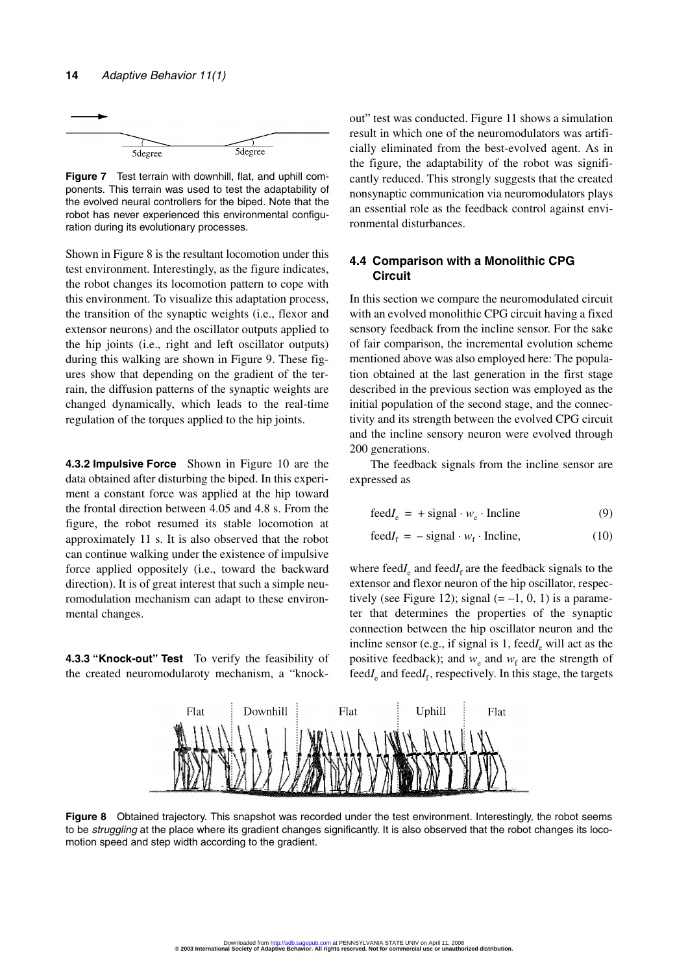

**Figure 7** Test terrain with downhill, flat, and uphill components. This terrain was used to test the adaptability of the evolved neural controllers for the biped. Note that the robot has never experienced this environmental configuration during its evolutionary processes.

Shown in Figure 8 is the resultant locomotion under this test environment. Interestingly, as the figure indicates, the robot changes its locomotion pattern to cope with this environment. To visualize this adaptation process, the transition of the synaptic weights (i.e., flexor and extensor neurons) and the oscillator outputs applied to the hip joints (i.e., right and left oscillator outputs) during this walking are shown in Figure 9. These figures show that depending on the gradient of the terrain, the diffusion patterns of the synaptic weights are changed dynamically, which leads to the real-time regulation of the torques applied to the hip joints.

**4.3.2 Impulsive Force** Shown in Figure 10 are the data obtained after disturbing the biped. In this experiment a constant force was applied at the hip toward the frontal direction between 4.05 and 4.8 s. From the figure, the robot resumed its stable locomotion at approximately 11 s. It is also observed that the robot can continue walking under the existence of impulsive force applied oppositely (i.e., toward the backward direction). It is of great interest that such a simple neuromodulation mechanism can adapt to these environmental changes.

**4.3.3 "Knock-out" Test** To verify the feasibility of the created neuromodularoty mechanism, a "knockout" test was conducted. Figure 11 shows a simulation result in which one of the neuromodulators was artificially eliminated from the best-evolved agent. As in the figure, the adaptability of the robot was significantly reduced. This strongly suggests that the created nonsynaptic communication via neuromodulators plays an essential role as the feedback control against environmental disturbances.

# **4.4 Comparison with a Monolithic CPG Circuit**

In this section we compare the neuromodulated circuit with an evolved monolithic CPG circuit having a fixed sensory feedback from the incline sensor. For the sake of fair comparison, the incremental evolution scheme mentioned above was also employed here: The population obtained at the last generation in the first stage described in the previous section was employed as the initial population of the second stage, and the connectivity and its strength between the evolved CPG circuit and the incline sensory neuron were evolved through 200 generations.

The feedback signals from the incline sensor are expressed as

$$
feedI_e = + signal \cdot w_e \cdot Include \tag{9}
$$

$$
feedI_f = - signal \cdot w_f \cdot Incline,
$$
 (10)

where feed $I_e$  and feed $I_f$  are the feedback signals to the extensor and flexor neuron of the hip oscillator, respectively (see Figure 12); signal  $(=-1, 0, 1)$  is a parameter that determines the properties of the synaptic connection between the hip oscillator neuron and the incline sensor (e.g., if signal is  $1$ , feed $I<sub>e</sub>$  will act as the positive feedback); and  $w_e$  and  $w_f$  are the strength of feed $I_e$  and feed $I_f$ , respectively. In this stage, the targets



**Figure 8** Obtained trajectory. This snapshot was recorded under the test environment. Interestingly, the robot seems to be struggling at the place where its gradient changes significantly. It is also observed that the robot changes its locomotion speed and step width according to the gradient.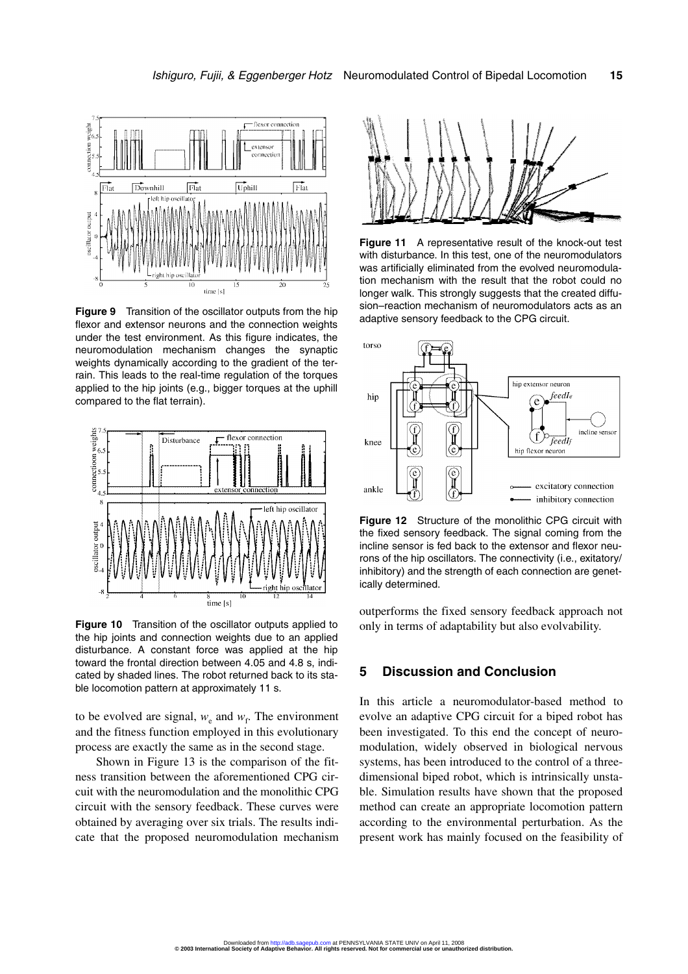

**Figure 9** Transition of the oscillator outputs from the hip flexor and extensor neurons and the connection weights under the test environment. As this figure indicates, the neuromodulation mechanism changes the synaptic weights dynamically according to the gradient of the terrain. This leads to the real-time regulation of the torques applied to the hip joints (e.g., bigger torques at the uphill compared to the flat terrain).



**Figure 10** Transition of the oscillator outputs applied to the hip joints and connection weights due to an applied disturbance. A constant force was applied at the hip toward the frontal direction between 4.05 and 4.8 s, indicated by shaded lines. The robot returned back to its stable locomotion pattern at approximately 11 s.

to be evolved are signal,  $w_e$  and  $w_f$ . The environment and the fitness function employed in this evolutionary process are exactly the same as in the second stage.

Shown in Figure 13 is the comparison of the fitness transition between the aforementioned CPG circuit with the neuromodulation and the monolithic CPG circuit with the sensory feedback. These curves were obtained by averaging over six trials. The results indicate that the proposed neuromodulation mechanism



**Figure 11** A representative result of the knock-out test with disturbance. In this test, one of the neuromodulators was artificially eliminated from the evolved neuromodulation mechanism with the result that the robot could no longer walk. This strongly suggests that the created diffusion–reaction mechanism of neuromodulators acts as an adaptive sensory feedback to the CPG circuit.



**Figure 12** Structure of the monolithic CPG circuit with the fixed sensory feedback. The signal coming from the incline sensor is fed back to the extensor and flexor neurons of the hip oscillators. The connectivity (i.e., exitatory/ inhibitory) and the strength of each connection are genetically determined.

outperforms the fixed sensory feedback approach not only in terms of adaptability but also evolvability.

### **5 Discussion and Conclusion**

In this article a neuromodulator-based method to evolve an adaptive CPG circuit for a biped robot has been investigated. To this end the concept of neuromodulation, widely observed in biological nervous systems, has been introduced to the control of a threedimensional biped robot, which is intrinsically unstable. Simulation results have shown that the proposed method can create an appropriate locomotion pattern according to the environmental perturbation. As the present work has mainly focused on the feasibility of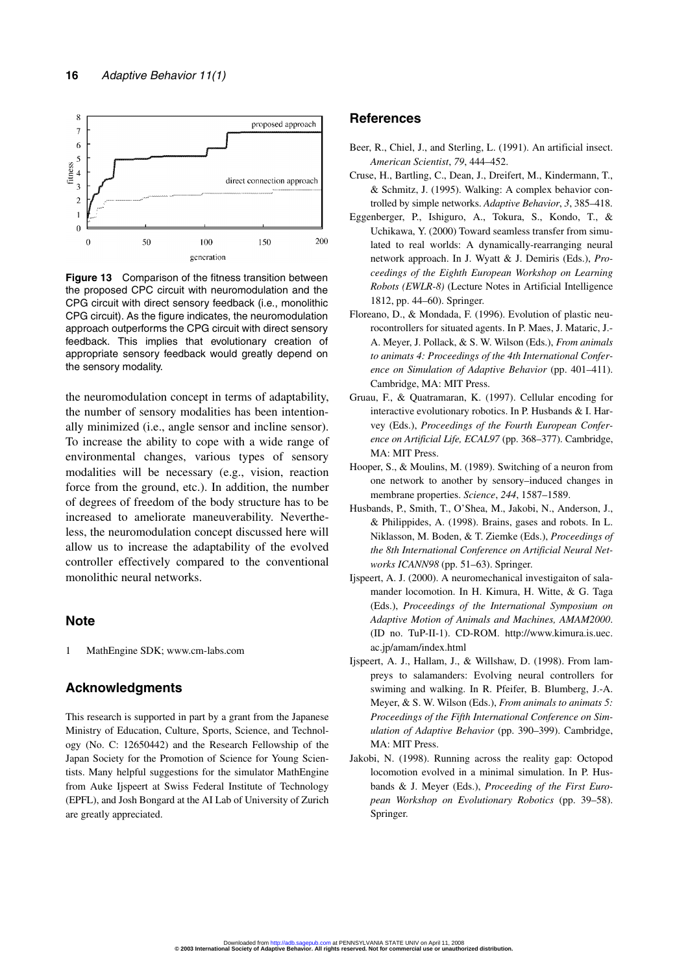

**Figure 13** Comparison of the fitness transition between the proposed CPC circuit with neuromodulation and the CPG circuit with direct sensory feedback (i.e., monolithic CPG circuit). As the figure indicates, the neuromodulation approach outperforms the CPG circuit with direct sensory feedback. This implies that evolutionary creation of appropriate sensory feedback would greatly depend on the sensory modality.

the neuromodulation concept in terms of adaptability, the number of sensory modalities has been intentionally minimized (i.e., angle sensor and incline sensor). To increase the ability to cope with a wide range of environmental changes, various types of sensory modalities will be necessary (e.g., vision, reaction force from the ground, etc.). In addition, the number of degrees of freedom of the body structure has to be increased to ameliorate maneuverability. Nevertheless, the neuromodulation concept discussed here will allow us to increase the adaptability of the evolved controller effectively compared to the conventional monolithic neural networks.

#### **Note**

1 MathEngine SDK; www.cm-labs.com

# **Acknowledgments**

This research is supported in part by a grant from the Japanese Ministry of Education, Culture, Sports, Science, and Technology (No. C: 12650442) and the Research Fellowship of the Japan Society for the Promotion of Science for Young Scientists. Many helpful suggestions for the simulator MathEngine from Auke Ijspeert at Swiss Federal Institute of Technology (EPFL), and Josh Bongard at the AI Lab of University of Zurich are greatly appreciated.

#### **References**

- Beer, R., Chiel, J., and Sterling, L. (1991). An artificial insect. *American Scientist*, *79*, 444–452.
- Cruse, H., Bartling, C., Dean, J., Dreifert, M., Kindermann, T., & Schmitz, J. (1995). Walking: A complex behavior controlled by simple networks. *Adaptive Behavior*, *3*, 385–418.
- Eggenberger, P., Ishiguro, A., Tokura, S., Kondo, T., & Uchikawa, Y. (2000) Toward seamless transfer from simulated to real worlds: A dynamically-rearranging neural network approach. In J. Wyatt & J. Demiris (Eds.), *Proceedings of the Eighth European Workshop on Learning Robots (EWLR-8)* (Lecture Notes in Artificial Intelligence 1812, pp. 44–60). Springer.
- Floreano, D., & Mondada, F. (1996). Evolution of plastic neurocontrollers for situated agents. In P. Maes, J. Mataric, J.- A. Meyer, J. Pollack, & S. W. Wilson (Eds.), *From animals to animats 4: Proceedings of the 4th International Conference on Simulation of Adaptive Behavior* (pp. 401–411). Cambridge, MA: MIT Press.
- Gruau, F., & Quatramaran, K. (1997). Cellular encoding for interactive evolutionary robotics. In P. Husbands & I. Harvey (Eds.), *Proceedings of the Fourth European Conference on Artificial Life, ECAL97* (pp. 368–377). Cambridge, MA: MIT Press.
- Hooper, S., & Moulins, M. (1989). Switching of a neuron from one network to another by sensory–induced changes in membrane properties. *Science*, *244*, 1587–1589.
- Husbands, P., Smith, T., O'Shea, M., Jakobi, N., Anderson, J., & Philippides, A. (1998). Brains, gases and robots. In L. Niklasson, M. Boden, & T. Ziemke (Eds.), *Proceedings of the 8th International Conference on Artificial Neural Networks ICANN98* (pp. 51–63). Springer.
- Ijspeert, A. J. (2000). A neuromechanical investigaiton of salamander locomotion. In H. Kimura, H. Witte, & G. Taga (Eds.), *Proceedings of the International Symposium on Adaptive Motion of Animals and Machines, AMAM2000*. (ID no. TuP-II-1). CD-ROM. http://www.kimura.is.uec. ac.jp/amam/index.html
- Ijspeert, A. J., Hallam, J., & Willshaw, D. (1998). From lampreys to salamanders: Evolving neural controllers for swiming and walking. In R. Pfeifer, B. Blumberg, J.-A. Meyer, & S. W. Wilson (Eds.), *From animals to animats 5: Proceedings of the Fifth International Conference on Simulation of Adaptive Behavior* (pp. 390–399). Cambridge, MA: MIT Press.
- Jakobi, N. (1998). Running across the reality gap: Octopod locomotion evolved in a minimal simulation. In P. Husbands & J. Meyer (Eds.), *Proceeding of the First European Workshop on Evolutionary Robotics* (pp. 39–58). Springer.